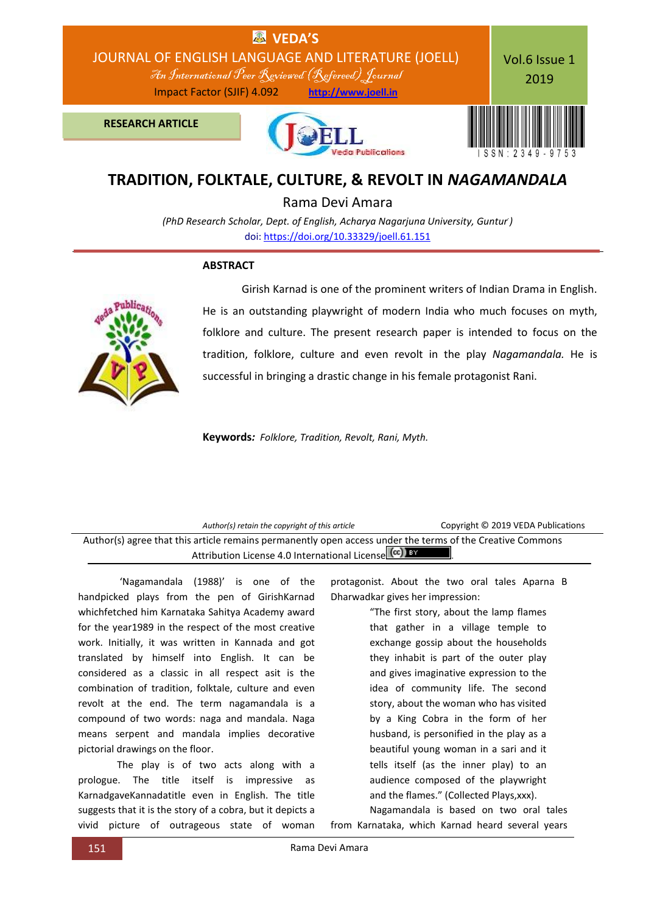

## **TRADITION, FOLKTALE, CULTURE, & REVOLT IN** *NAGAMANDALA*

Rama Devi Amara

*(PhD Research Scholar, Dept. of English, Acharya Nagarjuna University, Guntur. )* doi[: https://doi.org/10.33329/joell.61.151](http://joell.in/vol-6-issue-1-2019/)

## **ABSTRACT**



Girish Karnad is one of the prominent writers of Indian Drama in English. He is an outstanding playwright of modern India who much focuses on myth, folklore and culture. The present research paper is intended to focus on the tradition, folklore, culture and even revolt in the play *Nagamandala.* He is successful in bringing a drastic change in his female protagonist Rani.

**Keywords***: Folklore, Tradition, Revolt, Rani, Myth.*

| Author(s) retain the copyright of this article                                                                                                                     | Copyright © 2019 VEDA Publications |  |
|--------------------------------------------------------------------------------------------------------------------------------------------------------------------|------------------------------------|--|
| Author(s) agree that this article remains permanently open access under the terms of the Creative Commons<br>Attribution License 4.0 International License (cc) BY |                                    |  |
|                                                                                                                                                                    |                                    |  |

'Nagamandala (1988)' is one of the handpicked plays from the pen of GirishKarnad whichfetched him Karnataka Sahitya Academy award for the year1989 in the respect of the most creative work. Initially, it was written in Kannada and got translated by himself into English. It can be considered as a classic in all respect asit is the combination of tradition, folktale, culture and even revolt at the end. The term nagamandala is a compound of two words: naga and mandala. Naga means serpent and mandala implies decorative pictorial drawings on the floor.

The play is of two acts along with a prologue. The title itself is impressive as KarnadgaveKannadatitle even in English. The title suggests that it is the story of a cobra, but it depicts a vivid picture of outrageous state of woman protagonist. About the two oral tales Aparna B Dharwadkar gives her impression:

> "The first story, about the lamp flames that gather in a village temple to exchange gossip about the households they inhabit is part of the outer play and gives imaginative expression to the idea of community life. The second story, about the woman who has visited by a King Cobra in the form of her husband, is personified in the play as a beautiful young woman in a sari and it tells itself (as the inner play) to an audience composed of the playwright and the flames." (Collected Plays,xxx).

Nagamandala is based on two oral tales from Karnataka, which Karnad heard several years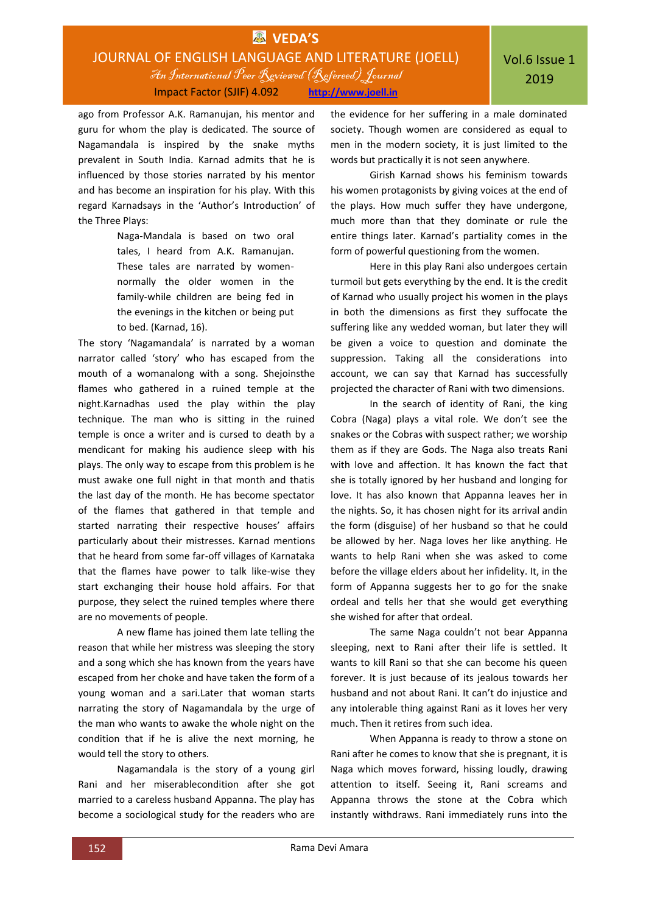## **EX** VEDA'S JOURNAL OF ENGLISH LANGUAGE AND LITERATURE (JOELL) An International Peer Reviewed (Refereed)Journal Impact Factor (SJIF) 4.092 **http://www.joell.in**

ago from Professor A.K. Ramanujan, his mentor and guru for whom the play is dedicated. The source of Nagamandala is inspired by the snake myths prevalent in South India. Karnad admits that he is influenced by those stories narrated by his mentor and has become an inspiration for his play. With this regard Karnadsays in the 'Author's Introduction' of the Three Plays:

> Naga-Mandala is based on two oral tales, I heard from A.K. Ramanujan. These tales are narrated by womennormally the older women in the family-while children are being fed in the evenings in the kitchen or being put to bed. (Karnad, 16).

The story 'Nagamandala' is narrated by a woman narrator called 'story' who has escaped from the mouth of a womanalong with a song. Shejoinsthe flames who gathered in a ruined temple at the night.Karnadhas used the play within the play technique. The man who is sitting in the ruined temple is once a writer and is cursed to death by a mendicant for making his audience sleep with his plays. The only way to escape from this problem is he must awake one full night in that month and thatis the last day of the month. He has become spectator of the flames that gathered in that temple and started narrating their respective houses' affairs particularly about their mistresses. Karnad mentions that he heard from some far-off villages of Karnataka that the flames have power to talk like-wise they start exchanging their house hold affairs. For that purpose, they select the ruined temples where there are no movements of people.

A new flame has joined them late telling the reason that while her mistress was sleeping the story and a song which she has known from the years have escaped from her choke and have taken the form of a young woman and a sari.Later that woman starts narrating the story of Nagamandala by the urge of the man who wants to awake the whole night on the condition that if he is alive the next morning, he would tell the story to others.

Nagamandala is the story of a young girl Rani and her miserablecondition after she got married to a careless husband Appanna. The play has become a sociological study for the readers who are the evidence for her suffering in a male dominated society. Though women are considered as equal to men in the modern society, it is just limited to the words but practically it is not seen anywhere.

Girish Karnad shows his feminism towards his women protagonists by giving voices at the end of the plays. How much suffer they have undergone, much more than that they dominate or rule the entire things later. Karnad's partiality comes in the form of powerful questioning from the women.

Here in this play Rani also undergoes certain turmoil but gets everything by the end. It is the credit of Karnad who usually project his women in the plays in both the dimensions as first they suffocate the suffering like any wedded woman, but later they will be given a voice to question and dominate the suppression. Taking all the considerations into account, we can say that Karnad has successfully projected the character of Rani with two dimensions.

In the search of identity of Rani, the king Cobra (Naga) plays a vital role. We don't see the snakes or the Cobras with suspect rather; we worship them as if they are Gods. The Naga also treats Rani with love and affection. It has known the fact that she is totally ignored by her husband and longing for love. It has also known that Appanna leaves her in the nights. So, it has chosen night for its arrival andin the form (disguise) of her husband so that he could be allowed by her. Naga loves her like anything. He wants to help Rani when she was asked to come before the village elders about her infidelity. It, in the form of Appanna suggests her to go for the snake ordeal and tells her that she would get everything she wished for after that ordeal.

The same Naga couldn't not bear Appanna sleeping, next to Rani after their life is settled. It wants to kill Rani so that she can become his queen forever. It is just because of its jealous towards her husband and not about Rani. It can't do injustice and any intolerable thing against Rani as it loves her very much. Then it retires from such idea.

When Appanna is ready to throw a stone on Rani after he comes to know that she is pregnant, it is Naga which moves forward, hissing loudly, drawing attention to itself. Seeing it, Rani screams and Appanna throws the stone at the Cobra which instantly withdraws. Rani immediately runs into the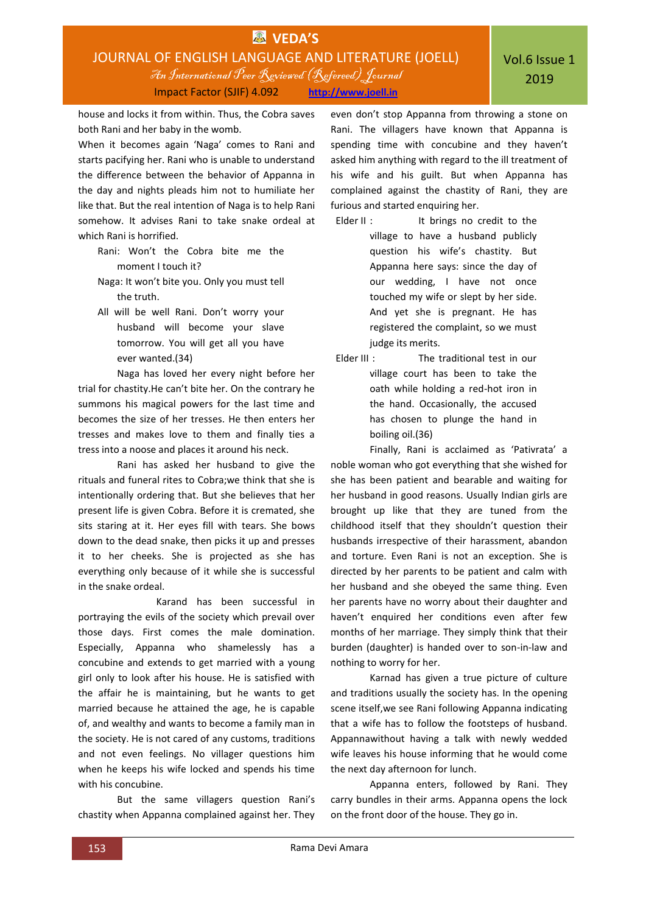house and locks it from within. Thus, the Cobra saves both Rani and her baby in the womb.

When it becomes again 'Naga' comes to Rani and starts pacifying her. Rani who is unable to understand the difference between the behavior of Appanna in the day and nights pleads him not to humiliate her like that. But the real intention of Naga is to help Rani somehow. It advises Rani to take snake ordeal at which Rani is horrified.

- Rani: Won't the Cobra bite me the moment I touch it?
- Naga: It won't bite you. Only you must tell the truth.
- All will be well Rani. Don't worry your husband will become your slave tomorrow. You will get all you have ever wanted.(34)

Naga has loved her every night before her trial for chastity.He can't bite her. On the contrary he summons his magical powers for the last time and becomes the size of her tresses. He then enters her tresses and makes love to them and finally ties a tress into a noose and places it around his neck.

Rani has asked her husband to give the rituals and funeral rites to Cobra;we think that she is intentionally ordering that. But she believes that her present life is given Cobra. Before it is cremated, she sits staring at it. Her eyes fill with tears. She bows down to the dead snake, then picks it up and presses it to her cheeks. She is projected as she has everything only because of it while she is successful in the snake ordeal.

Karand has been successful in portraying the evils of the society which prevail over those days. First comes the male domination. Especially, Appanna who shamelessly has a concubine and extends to get married with a young girl only to look after his house. He is satisfied with the affair he is maintaining, but he wants to get married because he attained the age, he is capable of, and wealthy and wants to become a family man in the society. He is not cared of any customs, traditions and not even feelings. No villager questions him when he keeps his wife locked and spends his time with his concubine.

But the same villagers question Rani's chastity when Appanna complained against her. They

even don't stop Appanna from throwing a stone on Rani. The villagers have known that Appanna is spending time with concubine and they haven't asked him anything with regard to the ill treatment of his wife and his guilt. But when Appanna has complained against the chastity of Rani, they are furious and started enquiring her.

- Elder II : It brings no credit to the village to have a husband publicly question his wife's chastity. But Appanna here says: since the day of our wedding, I have not once touched my wife or slept by her side. And yet she is pregnant. He has registered the complaint, so we must judge its merits.
- Elder III : The traditional test in our village court has been to take the oath while holding a red-hot iron in the hand. Occasionally, the accused has chosen to plunge the hand in boiling oil.(36)

Finally, Rani is acclaimed as 'Pativrata' a noble woman who got everything that she wished for she has been patient and bearable and waiting for her husband in good reasons. Usually Indian girls are brought up like that they are tuned from the childhood itself that they shouldn't question their husbands irrespective of their harassment, abandon and torture. Even Rani is not an exception. She is directed by her parents to be patient and calm with her husband and she obeyed the same thing. Even her parents have no worry about their daughter and haven't enquired her conditions even after few months of her marriage. They simply think that their burden (daughter) is handed over to son-in-law and nothing to worry for her.

Karnad has given a true picture of culture and traditions usually the society has. In the opening scene itself,we see Rani following Appanna indicating that a wife has to follow the footsteps of husband. Appannawithout having a talk with newly wedded wife leaves his house informing that he would come the next day afternoon for lunch.

Appanna enters, followed by Rani. They carry bundles in their arms. Appanna opens the lock on the front door of the house. They go in.